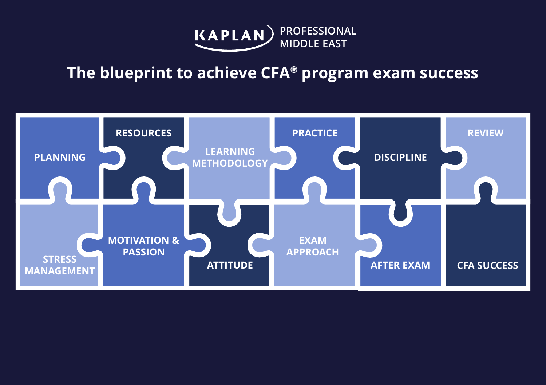

## **The blueprint to achieve CFA***®* **program exam success**